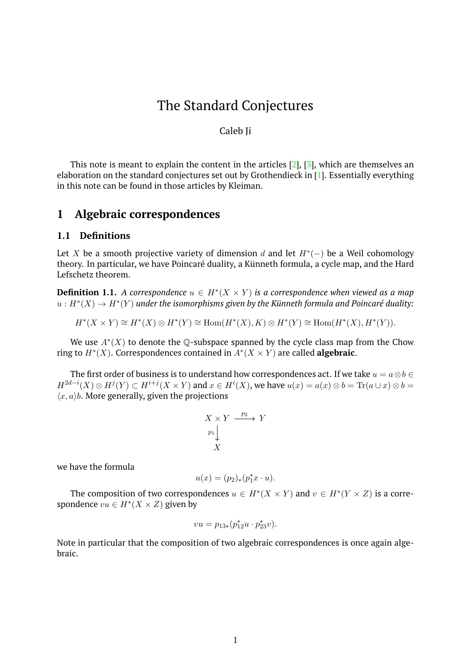# The Standard Conjectures

#### Caleb Ji

This note is meant to explain the content in the articles  $[2]$ ,  $[3]$ , which are themselves an elaboration on the standard conjectures set out by Grothendieck in [\[1\]](#page-6-2). Essentially everything in this note can be found in those articles by Kleiman.

## **1 Algebraic correspondences**

#### **1.1 Definitions**

Let X be a smooth projective variety of dimension d and let  $H^*(-)$  be a Weil cohomology theory. In particular, we have Poincaré duality, a Künneth formula, a cycle map, and the Hard Lefschetz theorem.

**Definition 1.1.** A correspondence  $u \in H^*(X \times Y)$  is a correspondence when viewed as a map  $u: H^*(X) \to H^*(Y)$  under the isomorphisms given by the Künneth formula and Poincaré duality:

$$
H^*(X \times Y) \cong H^*(X) \otimes H^*(Y) \cong \text{Hom}(H^*(X), K) \otimes H^*(Y) \cong \text{Hom}(H^*(X), H^*(Y)).
$$

We use  $A^*(X)$  to denote the Q-subspace spanned by the cycle class map from the Chow ring to  $H^*(X)$ . Correspondences contained in  $A^*(X \times Y)$  are called **algebraic**.

The first order of business is to understand how correspondences act. If we take  $u = a \otimes b \in \mathbb{R}$  $H^{2d-i}(X)\otimes H^j(Y)\subset H^{i+j}(X\times Y)$  and  $x\in H^i(X)$ , we have  $u(x)=a(x)\otimes b=\text{Tr}(a\cup x)\otimes b=$  $\langle x, a \rangle$ b. More generally, given the projections

$$
\begin{array}{c}\nX \times Y \xrightarrow{p_2} Y \\
\downarrow \\
X\n\end{array}
$$

we have the formula

$$
u(x) = (p_2)_*(p_1^*x \cdot u).
$$

The composition of two correspondences  $u \in H^*(X \times Y)$  and  $v \in H^*(Y \times Z)$  is a correspondence  $vu \in H^*(X \times Z)$  given by

$$
vu = p_{13*}(p_{12}^*u \cdot p_{23}^*v).
$$

Note in particular that the composition of two algebraic correspondences is once again algebraic.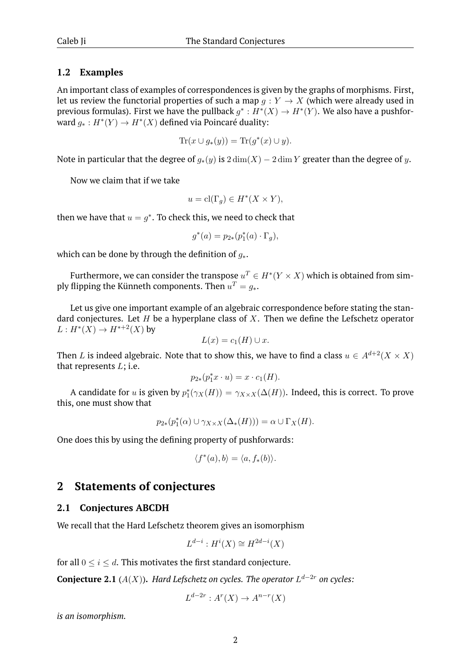### **1.2 Examples**

An important class of examples of correspondences is given by the graphs of morphisms. First, let us review the functorial properties of such a map  $q: Y \to X$  (which were already used in previous formulas). First we have the pullback  $g^*: H^*(X) \to H^*(Y)$ . We also have a pushforward  $g_*: H^*(Y) \to H^*(X)$  defined via Poincaré duality:

$$
\operatorname{Tr}(x \cup g_*(y)) = \operatorname{Tr}(g^*(x) \cup y).
$$

Note in particular that the degree of  $g_*(y)$  is  $2 \dim(X) - 2 \dim Y$  greater than the degree of y.

Now we claim that if we take

$$
u = \operatorname{cl}(\Gamma_g) \in H^*(X \times Y),
$$

then we have that  $u = g^*$ . To check this, we need to check that

$$
g^*(a) = p_{2*}(p_1^*(a) \cdot \Gamma_g),
$$

which can be done by through the definition of  $g_*$ .

Furthermore, we can consider the transpose  $u^T \in H^*(Y \times X)$  which is obtained from simply flipping the Künneth components. Then  $u^T=g_*$ .

Let us give one important example of an algebraic correspondence before stating the standard conjectures. Let  $H$  be a hyperplane class of  $X$ . Then we define the Lefschetz operator  $L: H^*(X) \to H^{*+2}(X)$  by

$$
L(x) = c_1(H) \cup x.
$$

Then L is indeed algebraic. Note that to show this, we have to find a class  $u \in A^{d+2}(X \times X)$ that represents  $L$ ; i.e.

$$
p_{2*}(p_1^*x \cdot u) = x \cdot c_1(H).
$$

A candidate for u is given by  $p_1^*(\gamma_X(H)) = \gamma_{X \times X}(\Delta(H))$ . Indeed, this is correct. To prove this, one must show that

$$
p_{2*}(p_1^*(\alpha) \cup \gamma_{X \times X}(\Delta_*(H))) = \alpha \cup \Gamma_X(H).
$$

One does this by using the defining property of pushforwards:

$$
\langle f^*(a), b \rangle = \langle a, f_*(b) \rangle.
$$

## **2 Statements of conjectures**

#### **2.1 Conjectures ABCDH**

We recall that the Hard Lefschetz theorem gives an isomorphism

$$
L^{d-i}: H^i(X) \cong H^{2d-i}(X)
$$

for all  $0 \le i \le d$ . This motivates the first standard conjecture.

**Conjecture 2.1** ( $A(X)$ ). *Hard Lefschetz on cycles. The operator*  $L^{d-2r}$  *on cycles:* 

$$
L^{d-2r}: A^r(X) \to A^{n-r}(X)
$$

*is an isomorphism.*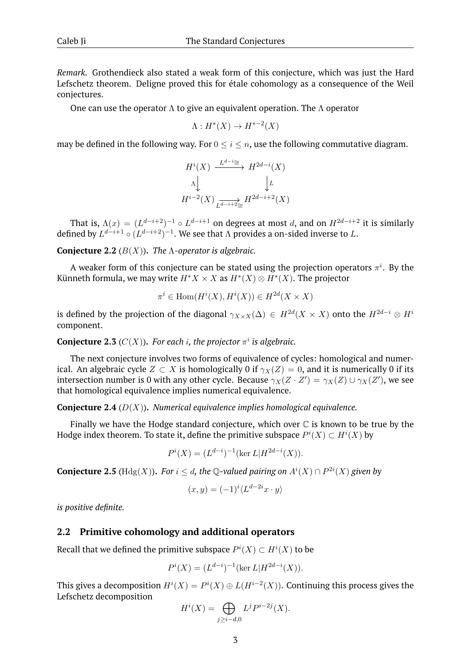*Remark.* Grothendieck also stated a weak form of this conjecture, which was just the Hard Lefschetz theorem. Deligne proved this for étale cohomology as a consequence of the Weil conjectures.

One can use the operator  $\Lambda$  to give an equivalent operation. The  $\Lambda$  operator

$$
\Lambda: H^*(X) \to H^{*-2}(X)
$$

may be defined in the following way. For  $0 \le i \le n$ , use the following commutative diagram.

$$
H^{i}(X) \xrightarrow{L^{d-i} \cong} H^{2d-i}(X)
$$

$$
\wedge \downarrow \qquad \qquad \downarrow L
$$

$$
H^{i-2}(X) \xrightarrow[L^{d-i+2} \cong} H^{2d-i+2}(X)
$$

That is,  $\Lambda(x) = (L^{d-i+2})^{-1} \circ L^{d-i+1}$  on degrees at most d, and on  $H^{2d-i+2}$  it is similarly defined by  $L^{d-i+1} \circ (L^{d-i+2})^{-1}$ . We see that  $\Lambda$  provides a on-sided inverse to L.

**Conjecture 2.2** (B(X))**.** *The* Λ*-operator is algebraic.*

A weaker form of this conjecture can be stated using the projection operators  $\pi^i$ . By the Künneth formula, we may write  $H^*X \times X$  as  $H^*(X) \otimes H^*(X)$ . The projector

$$
\pi^i \in \text{Hom}(H^i(X), H^i(X)) \in H^{2d}(X \times X)
$$

is defined by the projection of the diagonal  $\gamma_{X\times X}(\Delta)\,\in\, H^{2d}(X\times X)$  onto the  $H^{2d-i}\otimes H^i$ component.

**Conjecture 2.3** ( $C(X)$ ). For each *i*, the projector  $\pi^{i}$  is algebraic.

The next conjecture involves two forms of equivalence of cycles: homological and numerical. An algebraic cycle  $Z \subset X$  is homologically 0 if  $\gamma_X(Z) = 0$ , and it is numerically 0 if its intersection number is 0 with any other cycle. Because  $\gamma_X(Z \cdot Z') = \gamma_X(Z) \cup \gamma_X(Z')$ , we see that homological equivalence implies numerical equivalence.

**Conjecture 2.4** (D(X))**.** *Numerical equivalence implies homological equivalence.*

Finally we have the Hodge standard conjecture, which over  $\mathbb C$  is known to be true by the Hodge index theorem. To state it, define the primitive subspace  $P^i(X) \subset H^i(X)$  by

$$
P^{i}(X) = (L^{d-i})^{-1}(\ker L|H^{2d-i}(X)).
$$

**Conjecture 2.5** ( $\text{Hdg}(X)$ ). For  $i \leq d$ , the Q-valued pairing on  $A^{i}(X) \cap P^{2i}(X)$  given by

$$
(x,y) = (-1)^i \langle L^{d-2i} x \cdot y \rangle
$$

*is positive definite.*

#### **2.2 Primitive cohomology and additional operators**

Recall that we defined the primitive subspace  $P^{i}(X) \subset H^{i}(X)$  to be

$$
P^{i}(X) = (L^{d-i})^{-1}(\ker L | H^{2d-i}(X)).
$$

This gives a decomposition  $H^i(X) = P^i(X) \oplus L(H^{i-2}(X))$ . Continuing this process gives the Lefschetz decomposition

$$
H^i(X) = \bigoplus_{j \ge i - d, 0} L^j P^{i - 2j}(X).
$$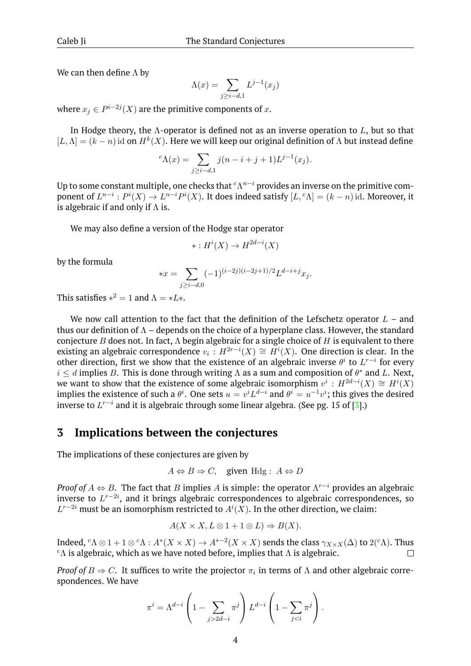We can then define  $\Lambda$  by

$$
\Lambda(x) = \sum_{j \ge i - d, 1} L^{j-1}(x_j)
$$

where  $x_j \in P^{i-2j}(X)$  are the primitive components of  $x.$ 

In Hodge theory, the  $\Lambda$ -operator is defined not as an inverse operation to  $L$ , but so that  $[L, \Lambda] = (k - n)$  id on  $H^k(X)$ . Here we will keep our original definition of  $\Lambda$  but instead define

$$
{}^{c}\Lambda(x) = \sum_{j \geq i-d,1} j(n-i+j+1)L^{j-1}(x_j).
$$

Up to some constant multiple, one checks that  ${}^c\Lambda^{n-i}$  provides an inverse on the primitive component of  $L^{n-i}: P^i(X) \to L^{n-i}P^i(X)$ . It does indeed satisfy  $[L, {}^c \Lambda] = (k-n)$  id. Moreover, it is algebraic if and only if  $\Lambda$  is.

We may also define a version of the Hodge star operator

$$
* : H^i(X) \to H^{2d-i}(X)
$$

by the formula

$$
*x = \sum_{j \ge i - d, 0} (-1)^{(i-2j)(i-2j+1)/2} L^{d-i+j} x_j.
$$

This satisfies  $*^2 = 1$  and  $\Lambda = *L*.$ 

We now call attention to the fact that the definition of the Lefschetz operator  $L$  – and thus our definition of  $\Lambda$  – depends on the choice of a hyperplane class. However, the standard conjecture B does not. In fact,  $\Lambda$  begin algebraic for a single choice of H is equivalent to there existing an algebraic correspondence  $v_i : H^{2r-i}(X) \cong H^{i}(X)$ . One direction is clear. In the other direction, first we show that the existence of an algebraic inverse  $\theta^i$  to  $L^{r-i}$  for every  $i \leq d$  implies B. This is done through writing  $\Lambda$  as a sum and composition of  $\theta^*$  and L. Next, we want to show that the existence of some algebraic isomorphism  $v^i : H^{2d-i}(X) \cong H^i(X)$ implies the existence of such a  $\theta^i$ . One sets  $u = v^i L^{d-i}$  and  $\theta^i = u^{-1} v^i$ ; this gives the desired inverse to  $L^{r-i}$  and it is algebraic through some linear algebra. (See pg. 15 of [\[3\]](#page-6-1).)

## **3 Implications between the conjectures**

The implications of these conjectures are given by

$$
A \Leftrightarrow B \Rightarrow C
$$
, given Hdg:  $A \Leftrightarrow D$ 

*Proof of*  $A \Leftrightarrow B$ . The fact that B implies A is simple: the operator  $\Lambda^{r-i}$  provides an algebraic inverse to  $L^{r-2i}$ , and it brings algebraic correspondences to algebraic correspondences, so  $L^{r-2i}$  must be an isomorphism restricted to  $A^{i}(X)$ . In the other direction, we claim:

$$
A(X \times X, L \otimes 1 + 1 \otimes L) \Rightarrow B(X).
$$

Indeed,  ${}^c\Lambda \otimes 1+1\otimes {}^c\Lambda : A^*(X\times X)\to A^{*-2}(X\times X)$  sends the class  $\gamma_{X\times X}(\Delta)$  to  $2({}^c\Lambda)$ . Thus  ${}^c$ Λ is algebraic, which as we have noted before, implies that Λ is algebraic.  $\Box$ 

*Proof of*  $B \Rightarrow C$ . It suffices to write the projector  $\pi_i$  in terms of  $\Lambda$  and other algebraic correspondences. We have

$$
\pi^{i} = \Lambda^{d-i} \left( 1 - \sum_{j>2d-i} \pi^{j} \right) L^{d-i} \left( 1 - \sum_{j
$$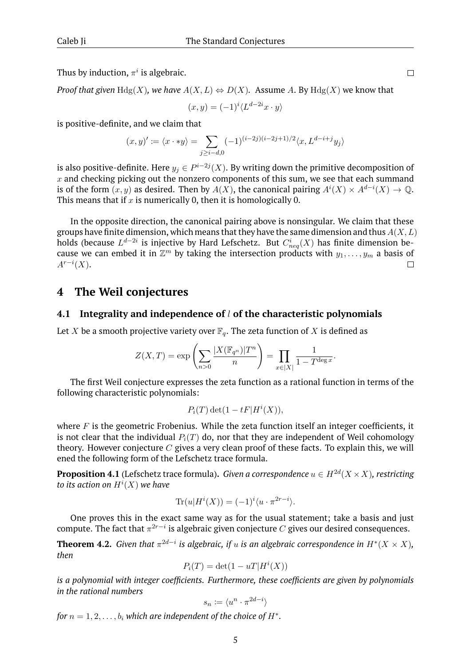Thus by induction,  $\pi^i$  is algebraic.

*Proof that given*  $Hdg(X)$ *, we have*  $A(X, L) \Leftrightarrow D(X)$ *.* Assume A. By  $Hdg(X)$  we know that

$$
(x,y) = (-1)^i \langle L^{d-2i} x \cdot y \rangle
$$

is positive-definite, and we claim that

$$
(x,y)' \coloneqq \langle x \cdot * y \rangle = \sum_{j \ge i - d,0} (-1)^{(i-2j)(i-2j+1)/2} \langle x, L^{d-i+j} y_j \rangle
$$

is also positive-definite. Here  $y_j\in P^{i-2j}(X).$  By writing down the primitive decomposition of  $x$  and checking picking out the nonzero components of this sum, we see that each summand is of the form  $(x, y)$  as desired. Then by  $A(X)$ , the canonical pairing  $A^{i}(X) \times A^{d-i}(X) \to \mathbb{Q}$ . This means that if  $x$  is numerically 0, then it is homologically 0.

In the opposite direction, the canonical pairing above is nonsingular. We claim that these groups have finite dimension, which means that they have the same dimension and thus  $A(X, L)$ holds (because  $L^{d-2i}$  is injective by Hard Lefschetz. But  $C^i_{neq}(X)$  has finite dimension because we can embed it in  $\mathbb{Z}^m$  by taking the intersection products with  $y_1, \ldots, y_m$  a basis of  $A^{r-i}(X)$ .  $\Box$ 

## **4 The Weil conjectures**

#### **4.1 Integrality and independence of** l **of the characteristic polynomials**

Let X be a smooth projective variety over  $\mathbb{F}_q$ . The zeta function of X is defined as

$$
Z(X,T) = \exp\left(\sum_{n>0} \frac{|X(\mathbb{F}_{q^n})|T^n}{n}\right) = \prod_{x \in |X|} \frac{1}{1 - T^{\deg x}}.
$$

The first Weil conjecture expresses the zeta function as a rational function in terms of the following characteristic polynomials:

$$
P_i(T) \det(1 - tF|H^i(X)),
$$

where  $F$  is the geometric Frobenius. While the zeta function itself an integer coefficients, it is not clear that the individual  $P_i(T)$  do, nor that they are independent of Weil cohomology theory. However conjecture  $C$  gives a very clean proof of these facts. To explain this, we will ened the following form of the Lefschetz trace formula.

**Proposition 4.1** (Lefschetz trace formula). *Given a correspondence*  $u \in H^{2d}(X \times X)$ *, restricting* to its action on  $H^i(X)$  we have

$$
\operatorname{Tr}(u|H^i(X)) = (-1)^i \langle u \cdot \pi^{2r-i} \rangle.
$$

One proves this in the exact same way as for the usual statement; take a basis and just compute. The fact that  $\pi^{2r-i}$  is algebraic given conjecture  $C$  gives our desired consequences.

**Theorem 4.2.** Given that  $\pi^{2d-i}$  is algebraic, if u is an algebraic correspondence in  $H^*(X \times X)$ , *then*

$$
P_i(T) = \det(1 - uT|H^i(X))
$$

*is a polynomial with integer coefficients. Furthermore, these coefficients are given by polynomials in the rational numbers*

$$
s_n \coloneqq \langle u^n \cdot \pi^{2d-i} \rangle
$$

*for*  $n = 1, 2, \ldots, b_i$  *which are independent of the choice of H\*.*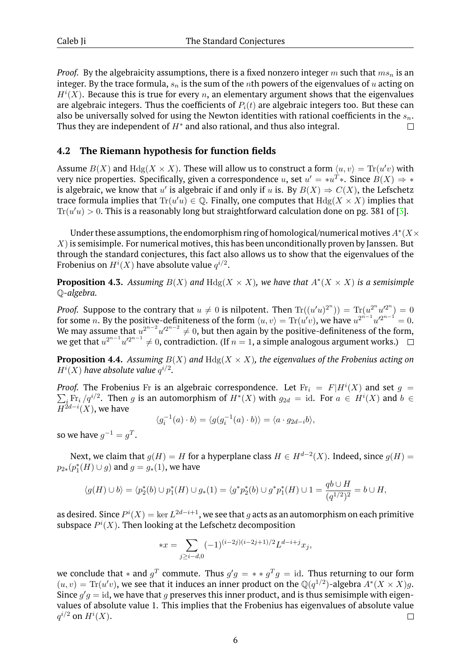*Proof.* By the algebraicity assumptions, there is a fixed nonzero integer  $m$  such that  $ms_n$  is an integer. By the trace formula,  $s_n$  is the sum of the nth powers of the eigenvalues of u acting on  $H^{i}(X)$ . Because this is true for every n, an elementary argument shows that the eigenvalues are algebraic integers. Thus the coefficients of  $P_i(t)$  are algebraic integers too. But these can also be universally solved for using the Newton identities with rational coefficients in the  $s_n$ . Thus they are independent of  $H^*$  and also rational, and thus also integral.  $\Box$ 

## **4.2 The Riemann hypothesis for function fields**

Assume  $B(X)$  and  $Hdg(X \times X)$ . These will allow us to construct a form  $\langle u, v \rangle = \text{Tr}(u'v)$  with very nice properties. Specifically, given a correspondence  $u$ , set  $u' = *u^T *$ . Since  $B(X) \Rightarrow *$ is algebraic, we know that u' is algebraic if and only if u is. By  $B(X) \Rightarrow C(X)$ , the Lefschetz trace formula implies that  $Tr(u'u) \in \mathbb{Q}$ . Finally, one computes that  $Hdg(X \times X)$  implies that  $Tr(u'u) > 0$ . This is a reasonably long but straightforward calculation done on pg. 381 of [\[3\]](#page-6-1).

Under these assumptions, the endomorphism ring of homological/numerical motives  $A^*(X\times Y)$  $X$ ) is semisimple. For numerical motives, this has been unconditionally proven by Janssen. But through the standard conjectures, this fact also allows us to show that the eigenvalues of the Frobenius on  $H^i(X)$  have absolute value  $q^{i/2}.$ 

**Proposition 4.3.** Assuming  $B(X)$  and  $Hdg(X \times X)$ , we have that  $A^*(X \times X)$  is a semisimple Q*-algebra.*

*Proof.* Suppose to the contrary that  $u \neq 0$  is nilpotent. Then  $\text{Tr}((u'u)^{2^n})) = \text{Tr}(u^{2^n}u'^{2^n}) = 0$ for some n. By the positive-definiteness of the form  $\langle u, v \rangle = \text{Tr}(u'v)$ , we have  $u^{2^{n-1}}u'^{2^{n-1}} = 0$ . We may assume that  $u^{2^{n-2}}u'^{2^{n-2}}\neq 0,$  but then again by the positive-definiteness of the form, we get that  $u^{2^{n-1}}u'^{2^{n-1}}\neq 0$ , contradiction. (If  $n=1,$  a simple analogous argument works.)

**Proposition 4.4.** *Assuming*  $B(X)$  *and*  $Hdg(X \times X)$ *, the eigenvalues of the Frobenius acting on*  $H^i(X)$  have absolute value  $q^{i/2}$ .

*Proof.* The Frobenius Fr is an algebraic correspondence. Let  $Fr_i = F|H^i(X)$  and set  $g =$  $\sum_i \text{Fr}_i /q^{i/2}$ . Then g is an automorphism of  $H^*(X)$  with  $g_{2d} = id$ . For  $a \in H^i(X)$  and  $b \in$  $H^{2d-i}(X)$ , we have

$$
\langle g_i^{-1}(a) \cdot b \rangle = \langle g(g_i^{-1}(a) \cdot b) \rangle = \langle a \cdot g_{2d-i}b \rangle,
$$

so we have  $g^{-1} = g^T$ .

Next, we claim that  $g(H) = H$  for a hyperplane class  $H \in H^{d-2}(X)$ . Indeed, since  $g(H) =$  $p_{2*}(p_1^*(H) \cup g)$  and  $g = g_*(1)$ , we have

$$
\langle g(H) \cup b \rangle = \langle p_2^*(b) \cup p_1^*(H) \cup g_*(1) \rangle = \langle g^* p_2^*(b) \cup g^* p_1^*(H) \cup 1 \rangle = \frac{q b \cup H}{(q^{1/2})^2} = b \cup H,
$$

as desired. Since  $P^i(X)=\ker L^{2d-i+1}$ , we see that  $g$  acts as an automorphism on each primitive subspace  $P^{i}(X)$ . Then looking at the Lefschetz decomposition

$$
*x = \sum_{j \ge i - d, 0} (-1)^{(i-2j)(i-2j+1)/2} L^{d-i+j} x_j,
$$

we conclude that  $*$  and  $g^T$  commute. Thus  $g'g = **g^Tg = \mathrm{id}.$  Thus returning to our form  $(u, v) = Tr(u'v)$ , we see that it induces an inner product on the  $\mathbb{Q}(q^{1/2})$ -algebra  $A^*(X \times X)g$ . Since  $g'g = id$ , we have that g preserves this inner product, and is thus semisimple with eigenvalues of absolute value 1. This implies that the Frobenius has eigenvalues of absolute value  $q^{i/2}$  on  $H^i(X).$  $\Box$